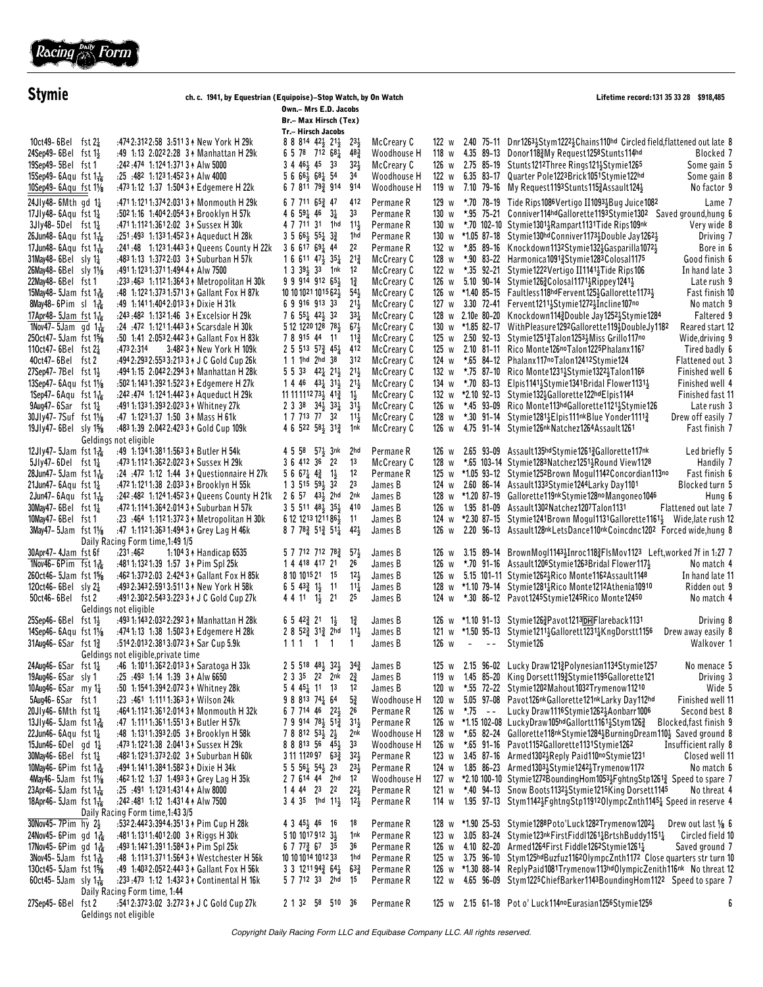

| <b>Stymie</b>                                                                                                                                                                                                                                                                                                                                                                                                                                                                                                                                                                                                                           | ch. c. 1941, by Equestrian (Equipoise)-Stop Watch, by On Watch                                                                                                                                                                                                                                                                                                                                                                                                                                                                                                                                                                                                                                                                                                                                         | Lifetime record: 131 35 33 28 \$918,485                                                                                                                                                                                                                                                                                                                                                                                                                                                                                                                                                                                                                                                                                                                                                                                                                                                                                                                                                                                                             |                                                                                     |                                                                                                                                                                                                                                                                                                                                                                                                                                                                                                                                                                                                                                                                                                                                                                                                                                                                                                                                                                                                                                                                                                                                                                                                                                                                                                                                                                                                                                                                            |
|-----------------------------------------------------------------------------------------------------------------------------------------------------------------------------------------------------------------------------------------------------------------------------------------------------------------------------------------------------------------------------------------------------------------------------------------------------------------------------------------------------------------------------------------------------------------------------------------------------------------------------------------|--------------------------------------------------------------------------------------------------------------------------------------------------------------------------------------------------------------------------------------------------------------------------------------------------------------------------------------------------------------------------------------------------------------------------------------------------------------------------------------------------------------------------------------------------------------------------------------------------------------------------------------------------------------------------------------------------------------------------------------------------------------------------------------------------------|-----------------------------------------------------------------------------------------------------------------------------------------------------------------------------------------------------------------------------------------------------------------------------------------------------------------------------------------------------------------------------------------------------------------------------------------------------------------------------------------------------------------------------------------------------------------------------------------------------------------------------------------------------------------------------------------------------------------------------------------------------------------------------------------------------------------------------------------------------------------------------------------------------------------------------------------------------------------------------------------------------------------------------------------------------|-------------------------------------------------------------------------------------|----------------------------------------------------------------------------------------------------------------------------------------------------------------------------------------------------------------------------------------------------------------------------------------------------------------------------------------------------------------------------------------------------------------------------------------------------------------------------------------------------------------------------------------------------------------------------------------------------------------------------------------------------------------------------------------------------------------------------------------------------------------------------------------------------------------------------------------------------------------------------------------------------------------------------------------------------------------------------------------------------------------------------------------------------------------------------------------------------------------------------------------------------------------------------------------------------------------------------------------------------------------------------------------------------------------------------------------------------------------------------------------------------------------------------------------------------------------------------|
|                                                                                                                                                                                                                                                                                                                                                                                                                                                                                                                                                                                                                                         |                                                                                                                                                                                                                                                                                                                                                                                                                                                                                                                                                                                                                                                                                                                                                                                                        | Br.- Max Hirsch (Tex)                                                                                                                                                                                                                                                                                                                                                                                                                                                                                                                                                                                                                                                                                                                                                                                                                                                                                                                                                                                                                               |                                                                                     |                                                                                                                                                                                                                                                                                                                                                                                                                                                                                                                                                                                                                                                                                                                                                                                                                                                                                                                                                                                                                                                                                                                                                                                                                                                                                                                                                                                                                                                                            |
| 10ct49-6Bel fst $2\frac{1}{4}$<br>24Sep49-6Bel fst 1}<br>19Sep49-5Bel fst 1<br>15Sep49-6Aqu fst $1\frac{1}{16}$                                                                                                                                                                                                                                                                                                                                                                                                                                                                                                                         | :4742:3122:58 3:5113 + New York H 29k<br>:49 1:13 2:0222:28 3 Manhattan H 29k<br>:242:474 1:124 1:371 3 + Alw 5000<br>$: 25 : 482 1: 1231: 4523 A$ Alw 4000<br>:473 1:12 1:37 1:504 3 + Edgemere H 22k                                                                                                                                                                                                                                                                                                                                                                                                                                                                                                                                                                                                 | Tr.- Hirsch Jacobs<br>8 8 8 14 4 2 3 2 1 3<br>McCreary C<br>$23\frac{1}{2}$<br>Woodhouse H<br>$6\ 5\ 7^8\ 7^{12}\ 6^{8}\frac{1}{4}$<br>$48\frac{3}{4}$<br>$3446\frac{1}{2}453$<br>McCreary C<br>$32\frac{1}{2}$<br>56656368454<br>34<br>Woodhouse H<br>6 7 811 793 914<br>914<br>Woodhouse H                                                                                                                                                                                                                                                                                                                                                                                                                                                                                                                                                                                                                                                                                                                                                        |                                                                                     | 122 w 2.40 75-11 Dnr1263 5tym1222 Chains 110hd Circled field, flattened out late 8<br>118 w 4.35 89-13 Donor1183My Request1258Stunts114hd<br>Blocked 7<br>126 w 2.75 85-19 Stunts1212Three Rings1213Stymie1265<br>Some gain 5<br>122 w 6.35 83-17 Quarter Pole1223Brick1051Stymie122hd<br>Some gain 8<br>119 w 7.10 79-16 My Request1193Stunts1153Assault124}<br>No factor 9                                                                                                                                                                                                                                                                                                                                                                                                                                                                                                                                                                                                                                                                                                                                                                                                                                                                                                                                                                                                                                                                                               |
| 10Sep49-6Aqu fst 11/8<br>24Jly48-6Mth gd 11<br>17Jly48-6Aqu fst 1 <sup>1</sup> / <sub>4</sub><br>$3Jly48 - 5Del$ fst $1\frac{1}{4}$<br>26Jun48-6Aqu fst $1\frac{1}{16}$<br>17Jun48-6Aqu fst $1\frac{1}{16}$<br>$31$ May48-6Bel sly $1\frac{1}{4}$<br>26May48-6Bel sly 11/8<br>22May48-6Bel fst 1<br>15May 48 - 5 Jam fst $1\frac{3}{16}$<br>8May 48 – 6 Pim sl $1\frac{3}{16}$<br>17Apr48-5Jam fst $1\frac{1}{16}$<br>1Nov47-5Jam gd $1\frac{1}{16}$<br>250ct47-5Jam fst 1 <sup>5</sup> %<br>110ct47-6Bel fst $2\frac{1}{4}$<br>40ct47-6Bel fst 2<br>27Sep47-7Bel fst 1}<br>13Sep47-6Aqu fst 11/8<br>$1$ Sep47-6Aqu fst $1\frac{1}{16}$ | :4711:1211:3742:0313 * Monmouth H 29k<br>:502 1:16 1:404 2:054 3 + Brooklyn H 57k<br>:4711:1121:3612:02 3 + Sussex H 30k<br>:251:493 1:133 1:452 3 A Aqueduct H 28k<br>:241:48 1:123 1:443 3 A Queens County H 22k<br>:483 1:13 1:372 2:03 3 * Suburban H 57k<br>:491 1:123 1:371 1:494 4 Alw 7500<br>:233:463 1:112 1:364 3 1 Metropolitan H 30k<br>:48 1:1221:3731:5713 + Gallant Fox H 87k<br>:49 1:1411:4042:013 3 + Dixie H 31k<br>:243:482 1:1321:46 3 A Excelsior H 29k<br>:24 :472 1:121 1:443 3 & Scarsdale H 30k<br>:50 1:41 2:053 2:442 3 1 Gallant Fox H 83k<br>3:482 3 + New York H 109k<br>:473 2:314<br>:494 2:293 2:553 3:213 3 + J C Gold Cup 26k<br>:494 1:15 2:042 2:294 3 + Manhattan H 28k<br>:502 1:143 1:392 1:522 3 1 Edgemere H 27k<br>:242:474 1:1241:442 3 A Aqueduct H 29k | 6 7 711 653 47<br>412<br>Permane R<br>4 6 5 9 $4$ 46 3 $\frac{1}{4}$<br>33<br>Permane R<br>4 7 711 31 1hd<br>$11\frac{1}{2}$<br>Permane <sub>R</sub><br>$3\ 5\ 66\frac{1}{2}\ 55\frac{1}{4}\ 3\frac{3}{4}$<br>1hd<br>Permane R<br>3 6 617 691 44<br>22<br>Permane R<br>$1661147\frac{1}{2}35\frac{1}{4}21\frac{3}{4}$<br>McCreary C<br>$1339\frac{1}{2}33$ 1nk<br>McCreary C<br>-12<br>$1\frac{3}{4}$<br>99914912654<br>McCreary C<br>$54\frac{1}{2}$<br>McCreary C<br>$10101021101562\frac{1}{2}$<br>6991691333<br>$21\frac{1}{2}$<br>McCreary C<br>$33\frac{1}{4}$<br>McCreary C<br>7 6 $55\frac{1}{4}$ 42 $\frac{1}{2}$ 32<br>McCreary C<br>512122012878<br>$67\frac{1}{2}$<br>McCreary C<br>789154411<br>$11\frac{3}{4}$<br>$2\,5\,513\,57\frac{3}{4}\,45\frac{1}{4}\,412$<br>McCreary C<br>1 1 1hd 2hd 38<br>312<br>McCreary C<br>$5\ 5\ 33\ 42\frac{1}{4}\ 21\frac{1}{2}\ 21\frac{1}{2}$<br>McCreary C<br>$1446$ $43\frac{1}{4}31\frac{1}{5}21\frac{1}{5}$<br>McCreary C<br>11 11 11 12 7 3 4 1 $\frac{3}{4}$<br>McCreary C<br>$1\frac{1}{2}$ | 129 w<br>130 w<br>128 w<br>126 w<br>127<br>W<br>130<br>W<br>125 w<br>124 w<br>132 w | *.70 78-19 Tide Rips1086Vertigo II10931Bug Juice1082<br>Lame 7<br>*.95 75-21 Conniver114hdGallorette1193Stymie1302 Saved ground, hung 6<br>130 w *.70 102-10 Stymie1301 <sup>1</sup> <sub>2</sub> Rampart1131Tide Rips109nk<br>Very wide 8<br>130 w *1.05 87-18 Stymie 130hd Conniver 1173 Houble Jay 1262 }<br>Driving 7<br>132 w *.85 89-16 Knockdown1132Stymie1323Gasparilla10723<br>Bore in 6<br>*.90 83-22 Harmonica1091\{{\delta}Stymie1283Colosal1175<br>Good finish 6<br>122 w *.35 92-21 Stymie1222Vertigo II1141 $\frac{1}{2}$ Tide Rips106<br>In hand late 3<br>5.10 90-14 Stymie126 $\frac{3}{2}$ Colosal1171 $\frac{1}{2}$ Rippey1241 $\frac{1}{2}$<br>Late rush 9<br>126 w *1.40 85-15 Faultless118hdFervent125}Gallorette1173}<br>Fast finish 10<br>3.30 72-41 Fervent1211}Stymie1272}Incline107no<br>No match 9<br>128 w 2.10e 80-20 Knockdown1143Double Jay12523Stymie1284<br>Faltered 9<br>*1.85 82-17 WithPleasure1292Gallorette119}DoubleJy1182<br>Reared start 12<br>125 w 2.50 92-13 Stymie12513Talon12533Miss Grillo117no<br>Wide, driving 9<br>2.10 81-11 Rico Monte126noTalon1225Phalanx1167<br>Tired badly 6<br>*.65 84-12 Phalanx117noTalon12412Stymie124<br>Flattened out 3<br>*.75 87-10 Rico Monte1231; Stymie1322; Talon1166<br>Finished well 6<br>134 w $\star$ .70 83-13 Elpis1141 $\frac{1}{2}$ Stymie1341Bridal Flower1131 $\frac{1}{2}$<br>Finished well 4<br>132 w *2.10 92-13 Stymie13216allorette122hdElpis1144<br>Finished fast 11 |
| $9$ Aug47-6Sar fst $1\frac{1}{4}$<br>30Jly47-7Suf fst 11/8<br>19Jly47-6Bel sly 1%                                                                                                                                                                                                                                                                                                                                                                                                                                                                                                                                                       | :4911:1331:3932:0233 + Whitney 27k<br>:47 1:123 1:37 1:50 3 + Mass H 61k<br>:483 1:39 2:042 2:423 3 + Gold Cup 109k<br>Geldings not eligible                                                                                                                                                                                                                                                                                                                                                                                                                                                                                                                                                                                                                                                           | $2$ 3 38 34 $\frac{1}{2}$ 33 $\frac{1}{4}$ 31 $\frac{1}{2}$<br>McCreary C<br>1 7 7 13 77 32<br>$11\frac{1}{2}$<br>McCreary C<br>4 6 522 581 313 1nk<br>McCreary C                                                                                                                                                                                                                                                                                                                                                                                                                                                                                                                                                                                                                                                                                                                                                                                                                                                                                   |                                                                                     | 126 w *.45 93-09 Rico Monte113hdGallorette112115tymie126<br>Late rush 3<br>Drew off easily 7<br>128 w *.30 91-14 Stymie12814 Elpis111nk Blue Yonder1111 <sup>3</sup><br>126 w 4.75 91-14 Stymie126nkNatchez1264Assault1261<br>Fast finish 7                                                                                                                                                                                                                                                                                                                                                                                                                                                                                                                                                                                                                                                                                                                                                                                                                                                                                                                                                                                                                                                                                                                                                                                                                                |
| 12Jly47-5Jam fst $1\frac{3}{16}$<br>$5Jly47 - 6Del$ fst $1\frac{1}{4}$<br>28Jun47-5Jam fst $1\frac{1}{16}$<br>21Jun47-6Aqu fst $1\frac{1}{4}$<br>$2$ Jun47-6Aqu fst $1\frac{1}{16}$<br>30May 47 – 6Bel fst 1 $\frac{1}{4}$<br>10May47-6Bel fst1<br>3May 47-5Jam fst 11/8                                                                                                                                                                                                                                                                                                                                                                | :49 1:134 1:381 1:563 3 + Butler H 54k<br>:473 1:112 1:362 2:022 3 + Sussex H 29k<br>:24 :472 1:12 1:44 3 A Questionnaire H 27k<br>:472 1:121 1:38 2:033 3 + Brooklyn H 55k<br>:242:482 1:124 1:452 3 4 Queens County H 21k<br>:472 1:114 1:364 2:014 3 * Suburban H 57k<br>:23 :464 1:112 1:372 3 1 Metropolitan H 30k<br>:47 1:112 1:363 1:494 3 + Grey Lag H 46k                                                                                                                                                                                                                                                                                                                                                                                                                                    | 4 5 58 57 <sub>2</sub> 3nk 2hd<br>Permane R<br>3 6 412 36 22<br>13<br>McCreary C<br>$5667\frac{1}{4}4\frac{3}{4}1\frac{1}{5}$<br>12<br>Permane R<br>2 <sup>3</sup><br>1 3 515 591 32<br>James B<br>$2657$ $43\frac{1}{2}$ $2hd$<br>2nk<br>James B<br>3 5 511 48 35 410<br>James B<br>6 12 1213 1211 861 11<br>James B<br>8 7 78 $\frac{3}{4}$ 51 $\frac{3}{4}$ 51 $\frac{1}{4}$ 42 $\frac{1}{2}$<br>James B                                                                                                                                                                                                                                                                                                                                                                                                                                                                                                                                                                                                                                         | 126 w<br>128 w<br>126 w 1.95 81-09<br>126 w                                         | 2.65 93-09 Assault135hdStymie1261}Gallorette117nk<br>Led briefly 5<br>*.65 103-14 Stymie1283Natchez12513Round View1128<br>Handily 7<br>125 w *1.05 93-12 Stymie1252Brown Mogul1142Concordian113no<br>Fast finish 6<br>124 w 2.60 86-14 Assault1333Stymie1244Larky Day1101<br>Blocked turn 5<br>128 w *1.20 87-19 Gallorette119nkStymie128noMangoneo1046<br>Hung 6<br>Assault1302Natchez1207Talon1131<br>Flattened out late 7<br>124 w *2.30 87-15 Stymie1241Brown Mogul1131Gallorette1161} Wide, late rush 12<br>2.20 96-13 Assault128nkLetsDance110nkCoincdnc1202 Forced wide,hung 8                                                                                                                                                                                                                                                                                                                                                                                                                                                                                                                                                                                                                                                                                                                                                                                                                                                                                      |
| 30Apr47-4Jam fst 6f<br>1Nov46-6Pim fst $1\frac{3}{16}$<br>260ct46-5Jam fst 1%<br>120 $ct$ 46 – 6Bel sly $2\frac{1}{4}$<br>50ct46-6Bel fst 2<br>25Sep46-6Bel fst 1}<br>$14$ Sep46-6Aqu fst $1\frac{1}{8}$                                                                                                                                                                                                                                                                                                                                                                                                                                | Daily Racing Form time, 1:49 1/5<br>:231:462<br>1:104 3 + Handicap 6535<br>:4811:1321:39 1:57 3 ↑ Pim Spl 25k<br>:462 1:373 2:03 2:424 3 + Gallant Fox H 85k<br>:493 2:343 2:591 3:511 3 + New York H 58k<br>:4912:3022:5433:2233 + J C Gold Cup 27k<br>Geldings not eligible<br>:493 1:143 2:032 2:292 3 1 Manhattan H 28k<br>:474 1:13 1:38 1:502 3 1 Edgemere H 28k                                                                                                                                                                                                                                                                                                                                                                                                                                 | 5 7 712 712 78 <sub>4</sub> 57 <sub>5</sub><br>James B<br>James B<br>1 4 4 18 4 17 21<br>26<br>James B<br>8 10 10 15 21 15<br>$12\frac{1}{2}$<br>$6\ 5\ 43\frac{3}{4}\ 1\frac{1}{2}\ 11$<br>James B<br>$11\frac{1}{4}$<br>4 4 11 1 $\frac{1}{2}$ 21<br>25<br>James B<br>$6\ 5\ 42\frac{3}{4}\ 21\ 1\frac{1}{2}$<br>$1\frac{3}{4}$<br>James B<br>2 8 52 <sup>3</sup> 31 <sup>3</sup> 2hd 11 <sup>1</sup> / <sub>2</sub><br>James B                                                                                                                                                                                                                                                                                                                                                                                                                                                                                                                                                                                                                   |                                                                                     | 126 w 3.15 89-14 BrownMogl1143}Inroc118}FlsMov1123 Left, worked 7f in 1.27 7<br>126 w *.70 91-16 Assault1206Stymie1263Bridal Flower1172<br>No match 4<br>126 w 5.15 101-11 Stymie12623Rico Monte1162Assault1148<br>In hand late 11<br>128 w *1.10 79-14 Stymie1281 <sup>1</sup> / <sub>2</sub> Rico Monte1212Athenia10910<br>Ridden out 9<br>124 w *.30 86-12 Pavot1245Stymie1245Rico Monte12450<br>No match 4<br>126 w *1.10 91-13 Stymie 126 Pavot 1213 DH Flareback 1131<br>Driving 8<br>121 w *1.50 95-13 Stymie1211; Gallorett1231; KngDorstt1156<br>Drew away easily 8                                                                                                                                                                                                                                                                                                                                                                                                                                                                                                                                                                                                                                                                                                                                                                                                                                                                                               |
| 31Aug46-6Sar fst 13<br>24Aug46-6Sar fst $1\frac{1}{4}$<br>19Aug46-6Sar sly 1<br>10Aug46-6Sar my 1 $\frac{1}{4}$<br>5Aug46-6Sar fst1<br>20Jly46-6Mth fst $1\frac{1}{4}$<br>13Jly46-5Jam fst $1\frac{3}{16}$<br>22Jun46-6 $Aqu$ fst $1\frac{1}{4}$<br>15 Jun 46 – 6 Delgd 1 $\frac{1}{4}$<br>30May46-6Bel fst 1 <sup>1</sup> / <sub>4</sub><br>$10$ May46-6Pim fst $1\frac{3}{16}$<br>4May46-5Jam fst 11/8<br>23Apr46-5Jam fst $1\frac{1}{16}$<br>18Apr46-5Jam fst $1\frac{1}{16}$                                                                                                                                                        | :5142:0132:3813:0723 + Sar Cup 5.9k<br>Geldings not eligible, private time<br>:46 1:1011:3622:013 3 + Saratoga H 33k<br>$: 25 : 493$ 1:14 1:39 3 A Alw 6650<br>:50 1:1541:3942:0723 N/hitney 28k<br>$: 23$ $: 461$ 1:1111:363 3 $\uparrow$ Wilson 24k<br>:464 1:112 1:361 2:014 3 + Monmouth H 32k<br>:47 1:1111:3611:5513 + Butler H 57k<br>:48 1:1311:3932:05 3 ↑ Brooklyn H 58k<br>:473 1:122 1:38 2:041 3 + Sussex H 29k<br>:482 1:123 1:373 2:02 3 A Suburban H 60k<br>:494 1:141 1:384 1:582 3 1 Dixie H 34k<br>:462 1:12 1:37 1:493 3 4 Grey Lag H 35k<br>$: 25 : 491 \cdot 1: 1231.4314 A$ Alw 8000<br>:242:481 1:12 1:431 4 Alw 7500                                                                                                                                                          | 111<br>$1 \quad 1$<br>James B<br>1<br>2 5 518 48 32 32 34 34<br>James B<br>2 3 35 22 2nk<br>$2\frac{3}{4}$<br>James B<br>12<br>James B<br>$5\; 4\; 45\frac{1}{4}\; 11\; 13$<br>$5\frac{3}{4}$<br>$9881374\frac{1}{4}64$<br>Woodhouse H<br>26<br>Permane R<br>6 7 7 14 46 2 $2\frac{1}{2}$<br>Permane R<br>7 9 914 78 51 31 31 51<br>78812533223<br>2nk<br>Woodhouse H<br>33<br>Woodhouse H<br>888135645<br>$31111209763\frac{3}{4}$<br>$32\frac{1}{2}$<br>Permane R<br>Permane R<br>$5\;5\;56\frac{1}{4}\;54\frac{1}{2}\;23$<br>$23\frac{1}{2}$<br>2 7 614 44 2hd<br>-12<br>Woodhouse H<br>Permane R<br>1 4 44 23 22<br>$22\frac{1}{2}$<br>3 4 35 1hd 11 <sub>3</sub> 12 <sub>3</sub><br>Permane R                                                                                                                                                                                                                                                                                                                                                  | 126 w<br>$\sim$<br>$- - -$<br>120 w<br>126 w<br>126 w<br>121 w                      | Stymie 126<br>Walkover 1<br>125 w 2.15 96-02 Lucky Draw121 <sup>3</sup> Polynesian1134 Stymie 1257<br>No menace 5<br>119 w 1.45 85-20 King Dorsett1193 Stymie 1195 Gallorette 121<br>Driving 3<br>120 w *.55 72-22 Stymie1202Mahout1032Trymenow11210<br>Wide 5<br>5.05 97-08 Pavot126nkGallorette121nkLarky Day112hd<br>Finished well 11<br>126 w *.75 -- Lucky Draw1116Stymie1262 <sup>1</sup> / <sub>2</sub> Aonbarr1006<br>Second best 8<br>*1.15 102-08 LuckyDraw105hdGallortt1161}Stym1263<br>Blocked, fast finish 9<br>128 w *.65 82-24 Gallorette118nkStymie1284 Burning Dream 110 3 Saved ground 8<br>*.65 91-16 Pavot1152Gallorette1131Stymie1262<br>Insufficient rally 8<br>123 w 3.45 87-16 Armed13023Reply Paid110noStymie1231<br>Closed well 11<br>124 w 1.85 86-23 Armed13031 Stymie 12421 Trymenow 1172<br>No match 6<br>127 w *2.10 100-10 Stymie1272BoundingHom10531FghtngStp12613 Speed to spare 7<br>*.40 94-13 Snow Boots113215tymie1215King Dorsett1145<br>No threat 4<br>114 w 1.95 97-13 Stym1142 Fightng Stp119120lympc Znth1145 & Speed in reserve 4                                                                                                                                                                                                                                                                                                                                                                                              |
| 30Nov45-7Pim hy 2 <sup>1</sup> / <sub>3</sub><br>24Nov45-6Pim gd 1 $\frac{3}{16}$<br>17Nov45-6Pim gd 1 $\frac{3}{16}$<br>$3$ Nov45-5Jam fst $1\frac{3}{16}$<br>130ct45-5Jam fst 1%<br>60ct45-5Jam sly $1\frac{1}{16}$<br>27Sep45-6Bel fst 2                                                                                                                                                                                                                                                                                                                                                                                             | Daily Racing Form time, 1:43 3/5<br>:532 2:442 3:394 4:351 3 + Pim Cup H 28k<br>:4811:1311:4012:00 3 A Riggs H 30k<br>:493 1:142 1:391 1:584 3 1 Pim Spl 25k<br>:48 1:113 1:371 1:564 3 1 Westchester H 56k<br>:49 1:403 2:052 2:443 3 + Gallant Fox H 56k<br>:233:473 1:12 1:432 3 A Continental H 16k<br>Daily Racing Form time, 1:44<br>:5412:3723:02 3:2723 + J C Gold Cup 27k<br>Geldings not eligible                                                                                                                                                                                                                                                                                                                                                                                            | Permane R<br>4 3 4 $5\frac{1}{2}$ 4 6 16<br>18<br>510101791233<br>1nk<br>Permane R<br>6 7 7 7 6 7 3 5<br>Permane R<br>36<br>10 10 10 14 10 12 33<br>1hd<br>Permane R<br>Permane R<br>$3\,3\,12^{11}\,9^{42}\,6^{41}\,6^{32}$<br>5 7 712 33 2hd 15<br>Permane R<br>Permane R<br>2 1 32 58 510 36                                                                                                                                                                                                                                                                                                                                                                                                                                                                                                                                                                                                                                                                                                                                                     | 122 w                                                                               | 128 w *1.90 25-53 Stymie1288Poto'Luck1282Trymenow1202}<br>Drew out last $\frac{1}{8}$ 6<br>123 w 3.05 83-24 Stymie123nkFirstFiddl1261 brtshBuddy1151 b<br>Circled field 10<br>126 w $4.10$ 82-20 Armed 1264 First Fiddle 1262 Stymie 1261 $\frac{1}{4}$<br>Saved ground 7<br>125 w 3.75 96-10 Stym125hdBuzfuz11620lympcZnth1172 Close quarters str turn 10<br>126 w *1.30 88-14 ReplyPaid1081Trymenow113hdOlympicZenith116nk No threat 12<br>4.65 96-09 Stym1225 Chief Barker 1143 Bounding Hom 1122 Speed to spare 7<br>125 w 2.15 61-18 Pot o' Luck114no Eurasian1256Stymie1256<br>6                                                                                                                                                                                                                                                                                                                                                                                                                                                                                                                                                                                                                                                                                                                                                                                                                                                                                     |

Copyright Daily Racing Form LLC and Equibase Company LLC. All rights reserved.